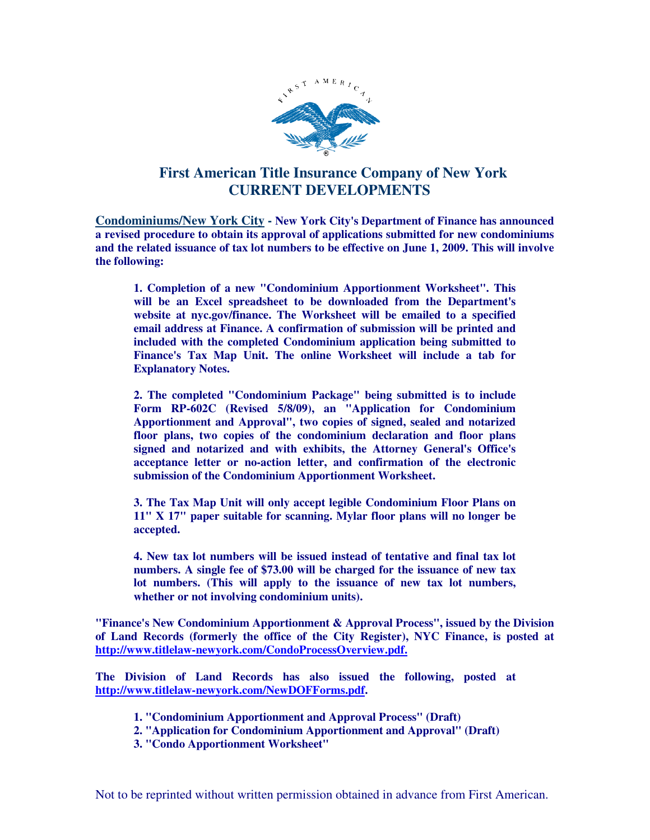

## **First American Title Insurance Company of New York CURRENT DEVELOPMENTS**

**Condominiums/New York City - New York City's Department of Finance has announced a revised procedure to obtain its approval of applications submitted for new condominiums and the related issuance of tax lot numbers to be effective on June 1, 2009. This will involve the following:** 

**1. Completion of a new "Condominium Apportionment Worksheet". This will be an Excel spreadsheet to be downloaded from the Department's website at nyc.gov/finance. The Worksheet will be emailed to a specified email address at Finance. A confirmation of submission will be printed and included with the completed Condominium application being submitted to Finance's Tax Map Unit. The online Worksheet will include a tab for Explanatory Notes.** 

**2. The completed "Condominium Package" being submitted is to include Form RP-602C (Revised 5/8/09), an "Application for Condominium Apportionment and Approval", two copies of signed, sealed and notarized floor plans, two copies of the condominium declaration and floor plans signed and notarized and with exhibits, the Attorney General's Office's acceptance letter or no-action letter, and confirmation of the electronic submission of the Condominium Apportionment Worksheet.** 

**3. The Tax Map Unit will only accept legible Condominium Floor Plans on 11" X 17" paper suitable for scanning. Mylar floor plans will no longer be accepted.** 

**4. New tax lot numbers will be issued instead of tentative and final tax lot numbers. A single fee of \$73.00 will be charged for the issuance of new tax lot numbers. (This will apply to the issuance of new tax lot numbers, whether or not involving condominium units).** 

**"Finance's New Condominium Apportionment & Approval Process", issued by the Division of Land Records (formerly the office of the City Register), NYC Finance, is posted at http://www.titlelaw-newyork.com/CondoProcessOverview.pdf.**

**The Division of Land Records has also issued the following, posted at http://www.titlelaw-newyork.com/NewDOFForms.pdf.** 

- **1. "Condominium Apportionment and Approval Process" (Draft)**
- **2. "Application for Condominium Apportionment and Approval" (Draft)**
- **3. "Condo Apportionment Worksheet"**